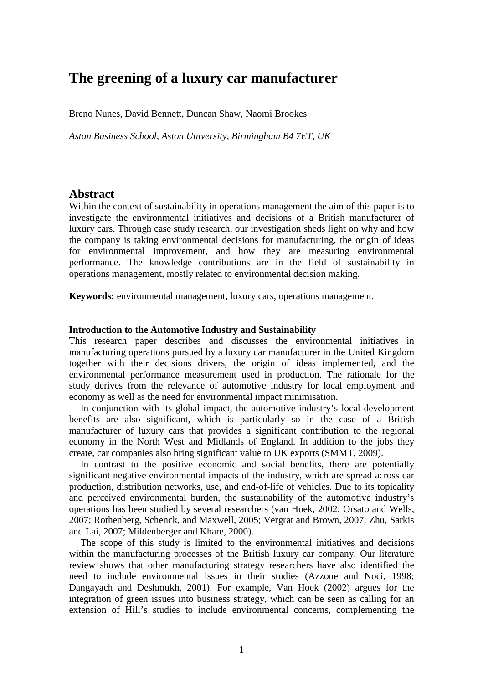# **The greening of a luxury car manufacturer**

Breno Nunes, David Bennett, Duncan Shaw, Naomi Brookes

*Aston Business School, Aston University, Birmingham B4 7ET, UK*

## **Abstract**

Within the context of sustainability in operations management the aim of this paper is to investigate the environmental initiatives and decisions of a British manufacturer of luxury cars. Through case study research, our investigation sheds light on why and how the company is taking environmental decisions for manufacturing, the origin of ideas for environmental improvement, and how they are measuring environmental performance. The knowledge contributions are in the field of sustainability in operations management, mostly related to environmental decision making.

**Keywords:** environmental management, luxury cars, operations management.

#### **Introduction to the Automotive Industry and Sustainability**

This research paper describes and discusses the environmental initiatives in manufacturing operations pursued by a luxury car manufacturer in the United Kingdom together with their decisions drivers, the origin of ideas implemented, and the environmental performance measurement used in production. The rationale for the study derives from the relevance of automotive industry for local employment and economy as well as the need for environmental impact minimisation.

In conjunction with its global impact, the automotive industry's local development benefits are also significant, which is particularly so in the case of a British manufacturer of luxury cars that provides a significant contribution to the regional economy in the North West and Midlands of England. In addition to the jobs they create, car companies also bring significant value to UK exports (SMMT, 2009).

In contrast to the positive economic and social benefits, there are potentially significant negative environmental impacts of the industry, which are spread across car production, distribution networks, use, and end-of-life of vehicles. Due to its topicality and perceived environmental burden, the sustainability of the automotive industry's operations has been studied by several researchers (van Hoek, 2002; Orsato and Wells, 2007; Rothenberg, Schenck, and Maxwell, 2005; Vergrat and Brown, 2007; Zhu, Sarkis and Lai, 2007; Mildenberger and Khare, 2000).

The scope of this study is limited to the environmental initiatives and decisions within the manufacturing processes of the British luxury car company. Our literature review shows that other manufacturing strategy researchers have also identified the need to include environmental issues in their studies (Azzone and Noci, 1998; Dangayach and Deshmukh, 2001). For example, Van Hoek (2002) argues for the integration of green issues into business strategy, which can be seen as calling for an extension of Hill's studies to include environmental concerns, complementing the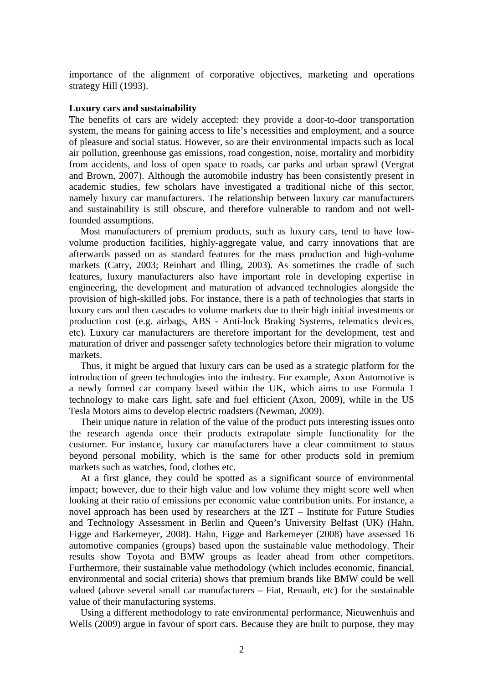importance of the alignment of corporative objectives, marketing and operations strategy Hill (1993).

## **Luxury cars and sustainability**

The benefits of cars are widely accepted: they provide a door-to-door transportation system, the means for gaining access to life's necessities and employment, and a source of pleasure and social status. However, so are their environmental impacts such as local air pollution, greenhouse gas emissions, road congestion, noise, mortality and morbidity from accidents, and loss of open space to roads, car parks and urban sprawl (Vergrat and Brown, 2007). Although the automobile industry has been consistently present in academic studies, few scholars have investigated a traditional niche of this sector, namely luxury car manufacturers. The relationship between luxury car manufacturers and sustainability is still obscure, and therefore vulnerable to random and not wellfounded assumptions.

Most manufacturers of premium products, such as luxury cars, tend to have lowvolume production facilities, highly-aggregate value, and carry innovations that are afterwards passed on as standard features for the mass production and high-volume markets (Catry, 2003; Reinhart and Illing, 2003). As sometimes the cradle of such features, luxury manufacturers also have important role in developing expertise in engineering, the development and maturation of advanced technologies alongside the provision of high-skilled jobs. For instance, there is a path of technologies that starts in luxury cars and then cascades to volume markets due to their high initial investments or production cost (e.g. airbags, ABS - Anti-lock Braking Systems, telematics devices, etc). Luxury car manufacturers are therefore important for the development, test and maturation of driver and passenger safety technologies before their migration to volume markets.

Thus, it might be argued that luxury cars can be used as a strategic platform for the introduction of green technologies into the industry. For example, Axon Automotive is a newly formed car company based within the UK, which aims to use Formula 1 technology to make cars light, safe and fuel efficient (Axon, 2009), while in the US Tesla Motors aims to develop electric roadsters (Newman, 2009).

Their unique nature in relation of the value of the product puts interesting issues onto the research agenda once their products extrapolate simple functionality for the customer. For instance, luxury car manufacturers have a clear commitment to status beyond personal mobility, which is the same for other products sold in premium markets such as watches, food, clothes etc.

At a first glance, they could be spotted as a significant source of environmental impact; however, due to their high value and low volume they might score well when looking at their ratio of emissions per economic value contribution units. For instance, a novel approach has been used by researchers at the IZT – Institute for Future Studies and Technology Assessment in Berlin and Queen's University Belfast (UK) (Hahn, Figge and Barkemeyer, 2008). Hahn, Figge and Barkemeyer (2008) have assessed 16 automotive companies (groups) based upon the sustainable value methodology. Their results show Toyota and BMW groups as leader ahead from other competitors. Furthermore, their sustainable value methodology (which includes economic, financial, environmental and social criteria) shows that premium brands like BMW could be well valued (above several small car manufacturers – Fiat, Renault, etc) for the sustainable value of their manufacturing systems.

Using a different methodology to rate environmental performance, Nieuwenhuis and Wells (2009) argue in favour of sport cars. Because they are built to purpose, they may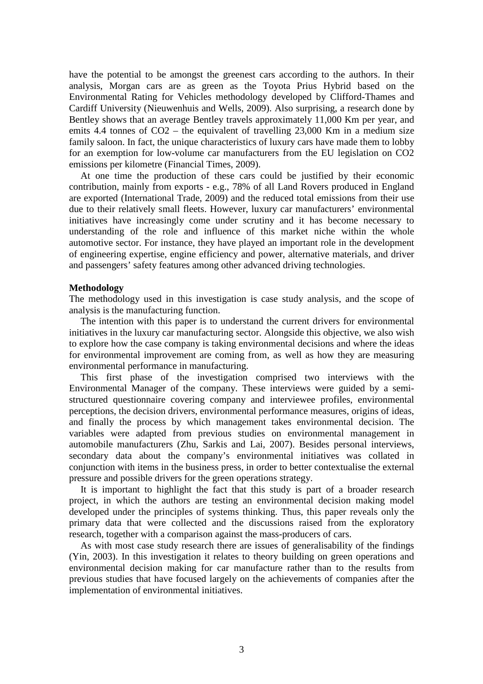have the potential to be amongst the greenest cars according to the authors. In their analysis, Morgan cars are as green as the Toyota Prius Hybrid based on the Environmental Rating for Vehicles methodology developed by Clifford-Thames and Cardiff University (Nieuwenhuis and Wells, 2009). Also surprising, a research done by Bentley shows that an average Bentley travels approximately 11,000 Km per year, and emits 4.4 tonnes of CO2 – the equivalent of travelling 23,000 Km in a medium size family saloon. In fact, the unique characteristics of luxury cars have made them to lobby for an exemption for low-volume car manufacturers from the EU legislation on CO2 emissions per kilometre (Financial Times, 2009).

At one time the production of these cars could be justified by their economic contribution, mainly from exports - e.g., 78% of all Land Rovers produced in England are exported (International Trade, 2009) and the reduced total emissions from their use due to their relatively small fleets. However, luxury car manufacturers' environmental initiatives have increasingly come under scrutiny and it has become necessary to understanding of the role and influence of this market niche within the whole automotive sector. For instance, they have played an important role in the development of engineering expertise, engine efficiency and power, alternative materials, and driver and passengers' safety features among other advanced driving technologies.

### **Methodology**

The methodology used in this investigation is case study analysis, and the scope of analysis is the manufacturing function.

The intention with this paper is to understand the current drivers for environmental initiatives in the luxury car manufacturing sector. Alongside this objective, we also wish to explore how the case company is taking environmental decisions and where the ideas for environmental improvement are coming from, as well as how they are measuring environmental performance in manufacturing.

This first phase of the investigation comprised two interviews with the Environmental Manager of the company. These interviews were guided by a semistructured questionnaire covering company and interviewee profiles, environmental perceptions, the decision drivers, environmental performance measures, origins of ideas, and finally the process by which management takes environmental decision. The variables were adapted from previous studies on environmental management in automobile manufacturers (Zhu, Sarkis and Lai, 2007). Besides personal interviews, secondary data about the company's environmental initiatives was collated in conjunction with items in the business press, in order to better contextualise the external pressure and possible drivers for the green operations strategy.

It is important to highlight the fact that this study is part of a broader research project, in which the authors are testing an environmental decision making model developed under the principles of systems thinking. Thus, this paper reveals only the primary data that were collected and the discussions raised from the exploratory research, together with a comparison against the mass-producers of cars.

As with most case study research there are issues of generalisability of the findings (Yin, 2003). In this investigation it relates to theory building on green operations and environmental decision making for car manufacture rather than to the results from previous studies that have focused largely on the achievements of companies after the implementation of environmental initiatives.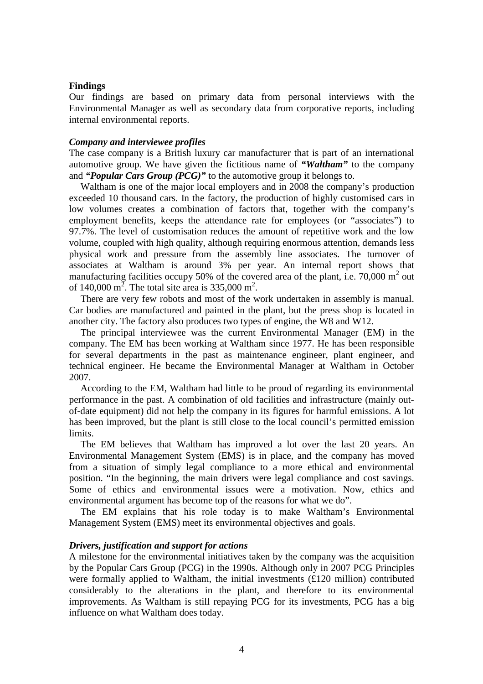#### **Findings**

Our findings are based on primary data from personal interviews with the Environmental Manager as well as secondary data from corporative reports, including internal environmental reports.

#### *Company and interviewee profiles*

The case company is a British luxury car manufacturer that is part of an international automotive group. We have given the fictitious name of *"Waltham"* to the company and *"Popular Cars Group (PCG)"* to the automotive group it belongs to.

Waltham is one of the major local employers and in 2008 the company's production exceeded 10 thousand cars. In the factory, the production of highly customised cars in low volumes creates a combination of factors that, together with the company's employment benefits, keeps the attendance rate for employees (or "associates") to 97.7%. The level of customisation reduces the amount of repetitive work and the low volume, coupled with high quality, although requiring enormous attention, demands less physical work and pressure from the assembly line associates. The turnover of associates at Waltham is around 3% per year. An internal report shows that manufacturing facilities occupy 50% of the covered area of the plant, i.e. 70,000  $m^2$  out of 140,000  $m^2$ . The total site area is 335,000 m<sup>2</sup>.

There are very few robots and most of the work undertaken in assembly is manual. Car bodies are manufactured and painted in the plant, but the press shop is located in another city. The factory also produces two types of engine, the W8 and W12.

The principal interviewee was the current Environmental Manager (EM) in the company. The EM has been working at Waltham since 1977. He has been responsible for several departments in the past as maintenance engineer, plant engineer, and technical engineer. He became the Environmental Manager at Waltham in October 2007.

According to the EM, Waltham had little to be proud of regarding its environmental performance in the past. A combination of old facilities and infrastructure (mainly outof-date equipment) did not help the company in its figures for harmful emissions. A lot has been improved, but the plant is still close to the local council's permitted emission limits.

The EM believes that Waltham has improved a lot over the last 20 years. An Environmental Management System (EMS) is in place, and the company has moved from a situation of simply legal compliance to a more ethical and environmental position. "In the beginning, the main drivers were legal compliance and cost savings. Some of ethics and environmental issues were a motivation. Now, ethics and environmental argument has become top of the reasons for what we do".

The EM explains that his role today is to make Waltham's Environmental Management System (EMS) meet its environmental objectives and goals.

#### *Drivers, justification and support for actions*

A milestone for the environmental initiatives taken by the company was the acquisition by the Popular Cars Group (PCG) in the 1990s. Although only in 2007 PCG Principles were formally applied to Waltham, the initial investments (£120 million) contributed considerably to the alterations in the plant, and therefore to its environmental improvements. As Waltham is still repaying PCG for its investments, PCG has a big influence on what Waltham does today.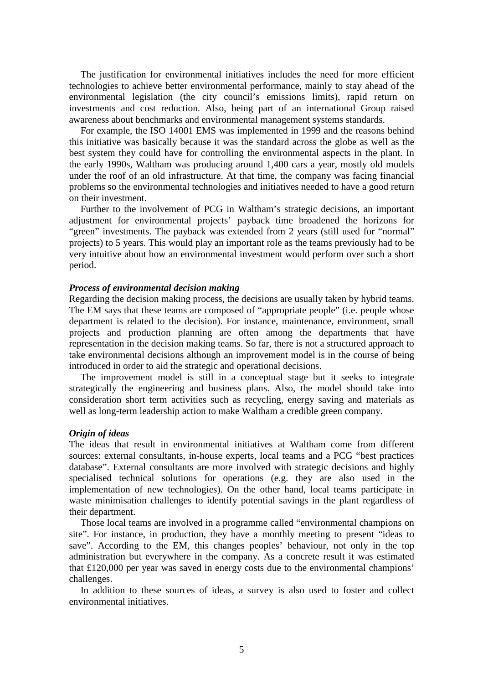The justification for environmental initiatives includes the need for more efficient technologies to achieve better environmental performance, mainly to stay ahead of the environmental legislation (the city council's emissions limits), rapid return on investments and cost reduction. Also, being part of an international Group raised awareness about benchmarks and environmental management systems standards.

For example, the ISO 14001 EMS was implemented in 1999 and the reasons behind this initiative was basically because it was the standard across the globe as well as the best system they could have for controlling the environmental aspects in the plant. In the early 1990s, Waltham was producing around 1,400 cars a year, mostly old models under the roof of an old infrastructure. At that time, the company was facing financial problems so the environmental technologies and initiatives needed to have a good return on their investment.

Further to the involvement of PCG in Waltham's strategic decisions, an important adjustment for environmental projects' payback time broadened the horizons for "green" investments. The payback was extended from 2 years (still used for "normal" projects) to 5 years. This would play an important role as the teams previously had to be very intuitive about how an environmental investment would perform over such a short period.

#### *Process of environmental decision making*

Regarding the decision making process, the decisions are usually taken by hybrid teams. The EM says that these teams are composed of "appropriate people" (i.e. people whose department is related to the decision). For instance, maintenance, environment, small projects and production planning are often among the departments that have representation in the decision making teams. So far, there is not a structured approach to take environmental decisions although an improvement model is in the course of being introduced in order to aid the strategic and operational decisions.

The improvement model is still in a conceptual stage but it seeks to integrate strategically the engineering and business plans. Also, the model should take into consideration short term activities such as recycling, energy saving and materials as well as long-term leadership action to make Waltham a credible green company.

#### *Origin of ideas*

The ideas that result in environmental initiatives at Waltham come from different sources: external consultants, in-house experts, local teams and a PCG "best practices database". External consultants are more involved with strategic decisions and highly specialised technical solutions for operations (e.g. they are also used in the implementation of new technologies). On the other hand, local teams participate in waste minimisation challenges to identify potential savings in the plant regardless of their department.

Those local teams are involved in a programme called "environmental champions on site". For instance, in production, they have a monthly meeting to present "ideas to save". According to the EM, this changes peoples' behaviour, not only in the top administration but everywhere in the company. As a concrete result it was estimated that £120,000 per year was saved in energy costs due to the environmental champions' challenges.

In addition to these sources of ideas, a survey is also used to foster and collect environmental initiatives.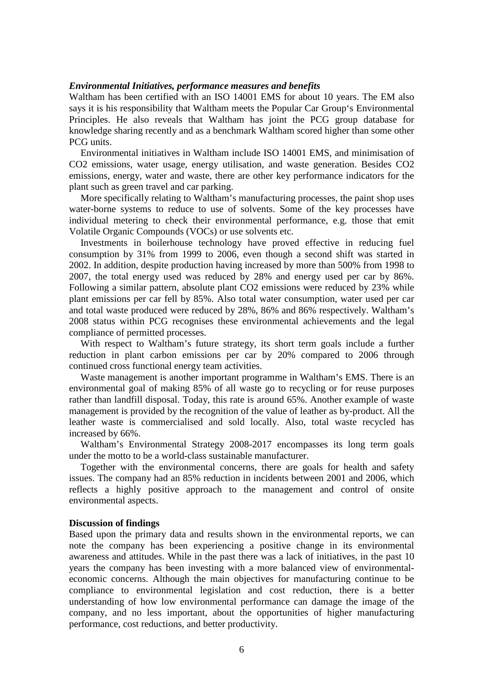## *Environmental Initiatives, performance measures and benefits*

Waltham has been certified with an ISO 14001 EMS for about 10 years. The EM also says it is his responsibility that Waltham meets the Popular Car Group's Environmental Principles. He also reveals that Waltham has joint the PCG group database for knowledge sharing recently and as a benchmark Waltham scored higher than some other PCG units

Environmental initiatives in Waltham include ISO 14001 EMS, and minimisation of CO2 emissions, water usage, energy utilisation, and waste generation. Besides CO2 emissions, energy, water and waste, there are other key performance indicators for the plant such as green travel and car parking.

More specifically relating to Waltham's manufacturing processes, the paint shop uses water-borne systems to reduce to use of solvents. Some of the key processes have individual metering to check their environmental performance, e.g. those that emit Volatile Organic Compounds (VOCs) or use solvents etc.

Investments in boilerhouse technology have proved effective in reducing fuel consumption by 31% from 1999 to 2006, even though a second shift was started in 2002. In addition, despite production having increased by more than 500% from 1998 to 2007, the total energy used was reduced by 28% and energy used per car by 86%. Following a similar pattern, absolute plant CO2 emissions were reduced by 23% while plant emissions per car fell by 85%. Also total water consumption, water used per car and total waste produced were reduced by 28%, 86% and 86% respectively. Waltham's 2008 status within PCG recognises these environmental achievements and the legal compliance of permitted processes.

With respect to Waltham's future strategy, its short term goals include a further reduction in plant carbon emissions per car by 20% compared to 2006 through continued cross functional energy team activities.

Waste management is another important programme in Waltham's EMS. There is an environmental goal of making 85% of all waste go to recycling or for reuse purposes rather than landfill disposal. Today, this rate is around 65%. Another example of waste management is provided by the recognition of the value of leather as by-product. All the leather waste is commercialised and sold locally. Also, total waste recycled has increased by 66%.

Waltham's Environmental Strategy 2008-2017 encompasses its long term goals under the motto to be a world-class sustainable manufacturer.

Together with the environmental concerns, there are goals for health and safety issues. The company had an 85% reduction in incidents between 2001 and 2006, which reflects a highly positive approach to the management and control of onsite environmental aspects.

#### **Discussion of findings**

Based upon the primary data and results shown in the environmental reports, we can note the company has been experiencing a positive change in its environmental awareness and attitudes. While in the past there was a lack of initiatives, in the past 10 years the company has been investing with a more balanced view of environmentaleconomic concerns. Although the main objectives for manufacturing continue to be compliance to environmental legislation and cost reduction, there is a better understanding of how low environmental performance can damage the image of the company, and no less important, about the opportunities of higher manufacturing performance, cost reductions, and better productivity.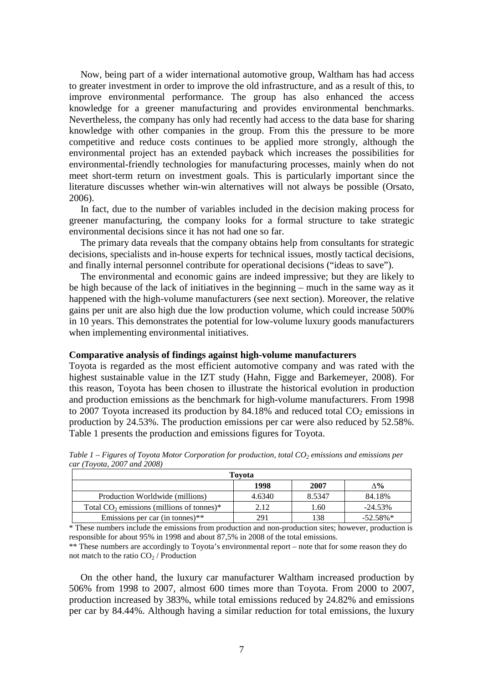Now, being part of a wider international automotive group, Waltham has had access to greater investment in order to improve the old infrastructure, and as a result of this, to improve environmental performance. The group has also enhanced the access knowledge for a greener manufacturing and provides environmental benchmarks. Nevertheless, the company has only had recently had access to the data base for sharing knowledge with other companies in the group. From this the pressure to be more competitive and reduce costs continues to be applied more strongly, although the environmental project has an extended payback which increases the possibilities for environmental-friendly technologies for manufacturing processes, mainly when do not meet short-term return on investment goals. This is particularly important since the literature discusses whether win-win alternatives will not always be possible (Orsato, 2006).

In fact, due to the number of variables included in the decision making process for greener manufacturing, the company looks for a formal structure to take strategic environmental decisions since it has not had one so far.

The primary data reveals that the company obtains help from consultants for strategic decisions, specialists and in-house experts for technical issues, mostly tactical decisions, and finally internal personnel contribute for operational decisions ("ideas to save").

The environmental and economic gains are indeed impressive; but they are likely to be high because of the lack of initiatives in the beginning – much in the same way as it happened with the high-volume manufacturers (see next section). Moreover, the relative gains per unit are also high due the low production volume, which could increase 500% in 10 years. This demonstrates the potential for low-volume luxury goods manufacturers when implementing environmental initiatives.

#### **Comparative analysis of findings against high-volume manufacturers**

Toyota is regarded as the most efficient automotive company and was rated with the highest sustainable value in the IZT study (Hahn, Figge and Barkemeyer, 2008). For this reason, Toyota has been chosen to illustrate the historical evolution in production and production emissions as the benchmark for high-volume manufacturers. From 1998 to 2007 Toyota increased its production by  $84.18\%$  and reduced total  $CO<sub>2</sub>$  emissions in production by 24.53%. The production emissions per car were also reduced by 52.58%. Table 1 presents the production and emissions figures for Toyota.

| Tovota                                      |        |        |             |  |
|---------------------------------------------|--------|--------|-------------|--|
|                                             | 1998   | 2007   | ∧%          |  |
| Production Worldwide (millions)             | 4.6340 | 8.5347 | 84.18%      |  |
| Total $CO2$ emissions (millions of tonnes)* | 2.12   | 1.60   | $-24.53\%$  |  |
| Emissions per car (in tonnes)**             | 291    | 138    | $-52.58\%*$ |  |

*Table 1 – Figures of Toyota Motor Corporation for production, total CO2 emissions and emissions per car (Toyota, 2007 and 2008)* 

\* These numbers include the emissions from production and non-production sites; however, production is responsible for about 95% in 1998 and about 87,5% in 2008 of the total emissions.

\*\* These numbers are accordingly to Toyota's environmental report – note that for some reason they do not match to the ratio  $CO<sub>2</sub>$  / Production

On the other hand, the luxury car manufacturer Waltham increased production by 506% from 1998 to 2007, almost 600 times more than Toyota. From 2000 to 2007, production increased by 383%, while total emissions reduced by 24.82% and emissions per car by 84.44%. Although having a similar reduction for total emissions, the luxury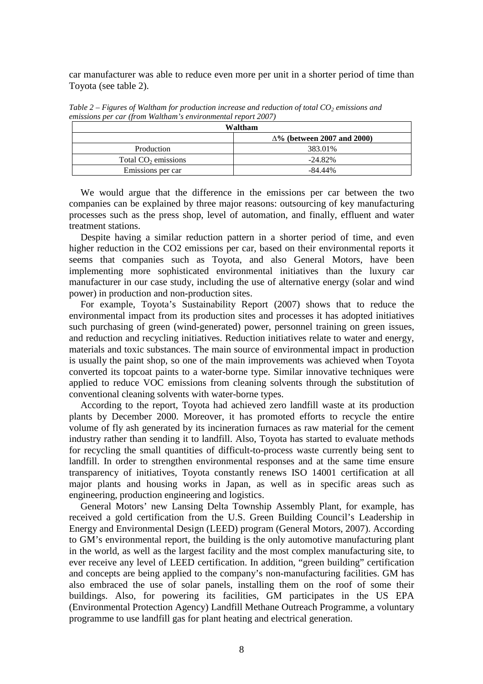car manufacturer was able to reduce even more per unit in a shorter period of time than Toyota (see table 2).

| Waltham                         |                                    |  |
|---------------------------------|------------------------------------|--|
|                                 | $\Delta\%$ (between 2007 and 2000) |  |
| Production                      | 383.01%                            |  |
| Total CO <sub>2</sub> emissions | $-24.82\%$                         |  |
| Emissions per car               | $-84.44\%$                         |  |

*Table 2 – Figures of Waltham for production increase and reduction of total CO2 emissions and emissions per car (from Waltham's environmental report 2007)* 

We would argue that the difference in the emissions per car between the two companies can be explained by three major reasons: outsourcing of key manufacturing processes such as the press shop, level of automation, and finally, effluent and water treatment stations.

Despite having a similar reduction pattern in a shorter period of time, and even higher reduction in the CO2 emissions per car, based on their environmental reports it seems that companies such as Toyota, and also General Motors, have been implementing more sophisticated environmental initiatives than the luxury car manufacturer in our case study, including the use of alternative energy (solar and wind power) in production and non-production sites.

For example, Toyota's Sustainability Report (2007) shows that to reduce the environmental impact from its production sites and processes it has adopted initiatives such purchasing of green (wind-generated) power, personnel training on green issues, and reduction and recycling initiatives. Reduction initiatives relate to water and energy, materials and toxic substances. The main source of environmental impact in production is usually the paint shop, so one of the main improvements was achieved when Toyota converted its topcoat paints to a water-borne type. Similar innovative techniques were applied to reduce VOC emissions from cleaning solvents through the substitution of conventional cleaning solvents with water-borne types.

According to the report, Toyota had achieved zero landfill waste at its production plants by December 2000. Moreover, it has promoted efforts to recycle the entire volume of fly ash generated by its incineration furnaces as raw material for the cement industry rather than sending it to landfill. Also, Toyota has started to evaluate methods for recycling the small quantities of difficult-to-process waste currently being sent to landfill. In order to strengthen environmental responses and at the same time ensure transparency of initiatives, Toyota constantly renews ISO 14001 certification at all major plants and housing works in Japan, as well as in specific areas such as engineering, production engineering and logistics.

General Motors' new Lansing Delta Township Assembly Plant, for example, has received a gold certification from the U.S. Green Building Council's Leadership in Energy and Environmental Design (LEED) program (General Motors, 2007). According to GM's environmental report, the building is the only automotive manufacturing plant in the world, as well as the largest facility and the most complex manufacturing site, to ever receive any level of LEED certification. In addition, "green building" certification and concepts are being applied to the company's non-manufacturing facilities. GM has also embraced the use of solar panels, installing them on the roof of some their buildings. Also, for powering its facilities, GM participates in the US EPA (Environmental Protection Agency) Landfill Methane Outreach Programme, a voluntary programme to use landfill gas for plant heating and electrical generation.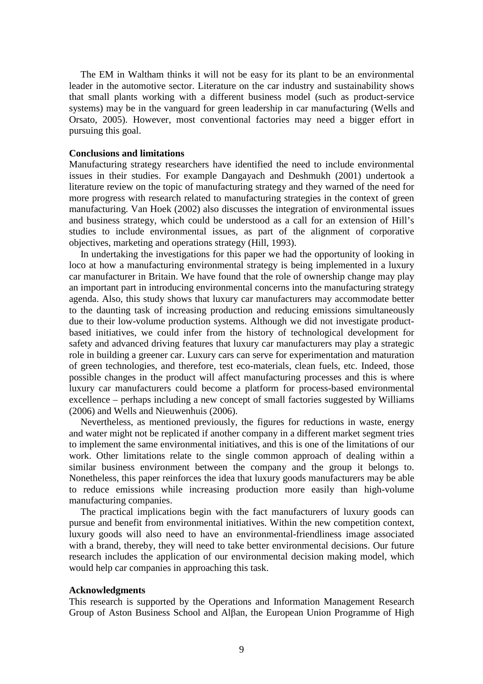The EM in Waltham thinks it will not be easy for its plant to be an environmental leader in the automotive sector. Literature on the car industry and sustainability shows that small plants working with a different business model (such as product-service systems) may be in the vanguard for green leadership in car manufacturing (Wells and Orsato, 2005). However, most conventional factories may need a bigger effort in pursuing this goal.

#### **Conclusions and limitations**

Manufacturing strategy researchers have identified the need to include environmental issues in their studies. For example Dangayach and Deshmukh (2001) undertook a literature review on the topic of manufacturing strategy and they warned of the need for more progress with research related to manufacturing strategies in the context of green manufacturing. Van Hoek (2002) also discusses the integration of environmental issues and business strategy, which could be understood as a call for an extension of Hill's studies to include environmental issues, as part of the alignment of corporative objectives, marketing and operations strategy (Hill, 1993).

In undertaking the investigations for this paper we had the opportunity of looking in loco at how a manufacturing environmental strategy is being implemented in a luxury car manufacturer in Britain. We have found that the role of ownership change may play an important part in introducing environmental concerns into the manufacturing strategy agenda. Also, this study shows that luxury car manufacturers may accommodate better to the daunting task of increasing production and reducing emissions simultaneously due to their low-volume production systems. Although we did not investigate productbased initiatives, we could infer from the history of technological development for safety and advanced driving features that luxury car manufacturers may play a strategic role in building a greener car. Luxury cars can serve for experimentation and maturation of green technologies, and therefore, test eco-materials, clean fuels, etc. Indeed, those possible changes in the product will affect manufacturing processes and this is where luxury car manufacturers could become a platform for process-based environmental excellence – perhaps including a new concept of small factories suggested by Williams (2006) and Wells and Nieuwenhuis (2006).

Nevertheless, as mentioned previously, the figures for reductions in waste, energy and water might not be replicated if another company in a different market segment tries to implement the same environmental initiatives, and this is one of the limitations of our work. Other limitations relate to the single common approach of dealing within a similar business environment between the company and the group it belongs to. Nonetheless, this paper reinforces the idea that luxury goods manufacturers may be able to reduce emissions while increasing production more easily than high-volume manufacturing companies.

The practical implications begin with the fact manufacturers of luxury goods can pursue and benefit from environmental initiatives. Within the new competition context, luxury goods will also need to have an environmental-friendliness image associated with a brand, thereby, they will need to take better environmental decisions. Our future research includes the application of our environmental decision making model, which would help car companies in approaching this task.

#### **Acknowledgments**

This research is supported by the Operations and Information Management Research Group of Aston Business School and Alβan, the European Union Programme of High